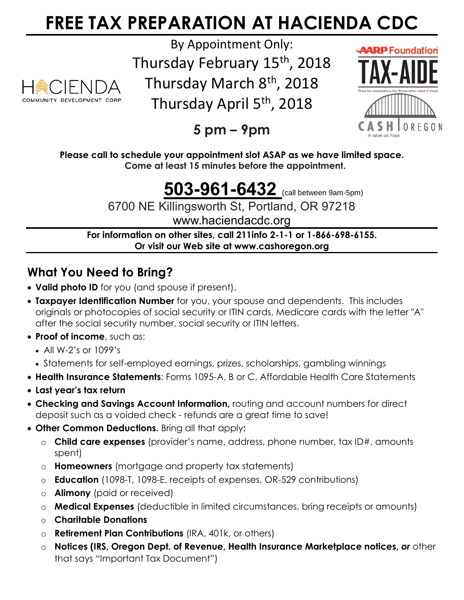# **FREE TAX PREPARATION AT HACIENDA CDC**



By Appointment Only:

Thursday February 15<sup>th</sup>, 2018 Thursday March 8<sup>th</sup>, 2018

Thursday April 5<sup>th</sup>, 2018



**5 pm – 9pm**

**Please call to schedule your appointment slot ASAP as we have limited space. Come at least 15 minutes before the appointment.**

## **503-961-6432** (call between 9am-5pm)

6700 NE Killingsworth St, Portland, OR 97218

www.haciendacdc.org

**For information on other sites, call 211info 2-1-1 or 1-866-698-6155. Or visit our Web site at www.cashoregon.org**

### **What You Need to Bring?**

- **Valid photo ID** for you (and spouse if present).
- **Taxpayer Identification Number** for you, your spouse and dependents. This includes originals or photocopies of social security or ITIN cards, Medicare cards with the letter "A" after the social security number, social security or ITIN letters.
- **Proof of income**, such as:
	- All W-2's or 1099's
	- Statements for self-employed earnings, prizes, scholarships, gambling winnings
- **Health Insurance Statements**: Forms 1095-A, B or C, Affordable Health Care Statements
- **Last year's tax return**
- **Checking and Savings Account Information,** routing and account numbers for direct deposit such as a voided check - refunds are a great time to save!
- **Other Common Deductions.** Bring all that apply**:** 
	- o **Child care expenses** (provider's name, address, phone number, tax ID#, amounts spent)
	- o **Homeowners** (mortgage and property tax statements)
	- o **Education** (1098-T, 1098-E, receipts of expenses, OR-529 contributions)
	- o **Alimony** (paid or received)
	- o **Medical Expenses** (deductible in limited circumstances, bring receipts or amounts)
	- o **Charitable Donations**
	- o **Retirement Plan Contributions** (IRA, 401k, or others)
	- o **Notices (IRS, Oregon Dept. of Revenue, Health Insurance Marketplace notices,** *or* other that says "Important Tax Document")